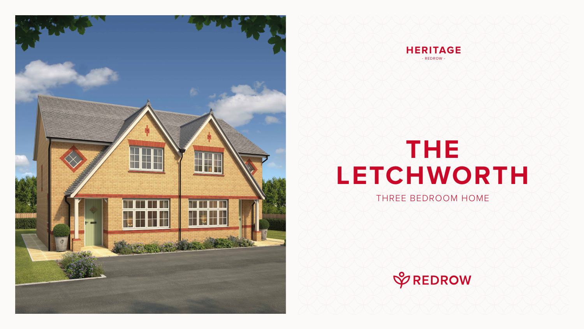# **THE LETCHWORTH** THREE BEDROOM HOME







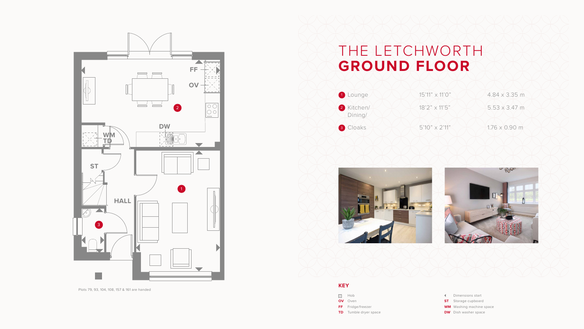### THE LETCHWORTH **GROUND FLOOR**



2 Kitchen/  $\leftarrow$  18'2" x 11'5"  $\leftarrow$  5.53 x 3.47 m



- Dimensions start
- **ST** Storage cupboard
- **WM** Washing machine space
- **DW** Dish washer space



#### **KEY**

- **SSS** Hob
- **OV** Oven
- **FF** Fridge/freezer
- **TD** Tumble dryer space



Plots 79, 93, 104, 108, 157 & 161 are handed